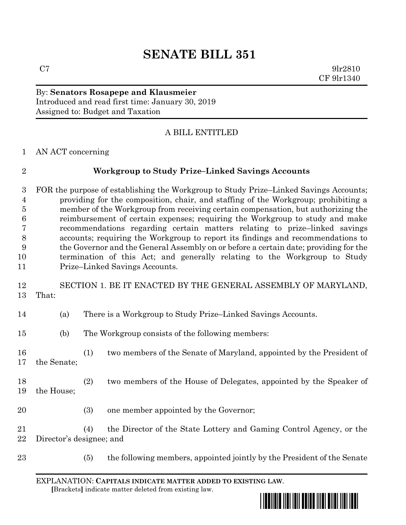# **SENATE BILL 351**

 $C7$  9lr2810 CF 9lr1340

#### By: **Senators Rosapepe and Klausmeier** Introduced and read first time: January 30, 2019 Assigned to: Budget and Taxation

## A BILL ENTITLED

AN ACT concerning

| ۰ |
|---|
|   |
|   |

## **Workgroup to Study Prize–Linked Savings Accounts**

 FOR the purpose of establishing the Workgroup to Study Prize–Linked Savings Accounts; providing for the composition, chair, and staffing of the Workgroup; prohibiting a member of the Workgroup from receiving certain compensation, but authorizing the reimbursement of certain expenses; requiring the Workgroup to study and make recommendations regarding certain matters relating to prize–linked savings accounts; requiring the Workgroup to report its findings and recommendations to the Governor and the General Assembly on or before a certain date; providing for the termination of this Act; and generally relating to the Workgroup to Study Prize–Linked Savings Accounts.

 SECTION 1. BE IT ENACTED BY THE GENERAL ASSEMBLY OF MARYLAND, That:

- (a) There is a Workgroup to Study Prize–Linked Savings Accounts.
- (b) The Workgroup consists of the following members:
- (1) two members of the Senate of Maryland, appointed by the President of the Senate;
- (2) two members of the House of Delegates, appointed by the Speaker of the House;
- (3) one member appointed by the Governor;

 (4) the Director of the State Lottery and Gaming Control Agency, or the Director's designee; and

- 
- (5) the following members, appointed jointly by the President of the Senate

EXPLANATION: **CAPITALS INDICATE MATTER ADDED TO EXISTING LAW**.  **[**Brackets**]** indicate matter deleted from existing law.

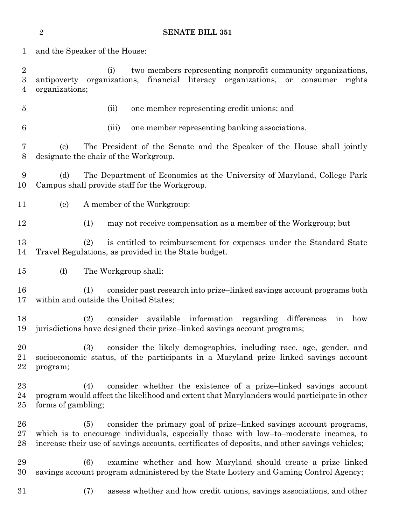**SENATE BILL 351**

 and the Speaker of the House: (i) two members representing nonprofit community organizations, antipoverty organizations, financial literacy organizations, or consumer rights organizations; (ii) one member representing credit unions; and (iii) one member representing banking associations. (c) The President of the Senate and the Speaker of the House shall jointly designate the chair of the Workgroup. (d) The Department of Economics at the University of Maryland, College Park Campus shall provide staff for the Workgroup. (e) A member of the Workgroup: (1) may not receive compensation as a member of the Workgroup; but (2) is entitled to reimbursement for expenses under the Standard State Travel Regulations, as provided in the State budget. (f) The Workgroup shall: (1) consider past research into prize–linked savings account programs both within and outside the United States; (2) consider available information regarding differences in how jurisdictions have designed their prize–linked savings account programs; (3) consider the likely demographics, including race, age, gender, and socioeconomic status, of the participants in a Maryland prize–linked savings account program; (4) consider whether the existence of a prize–linked savings account program would affect the likelihood and extent that Marylanders would participate in other forms of gambling; (5) consider the primary goal of prize–linked savings account programs, which is to encourage individuals, especially those with low–to–moderate incomes, to increase their use of savings accounts, certificates of deposits, and other savings vehicles; (6) examine whether and how Maryland should create a prize–linked savings account program administered by the State Lottery and Gaming Control Agency; (7) assess whether and how credit unions, savings associations, and other